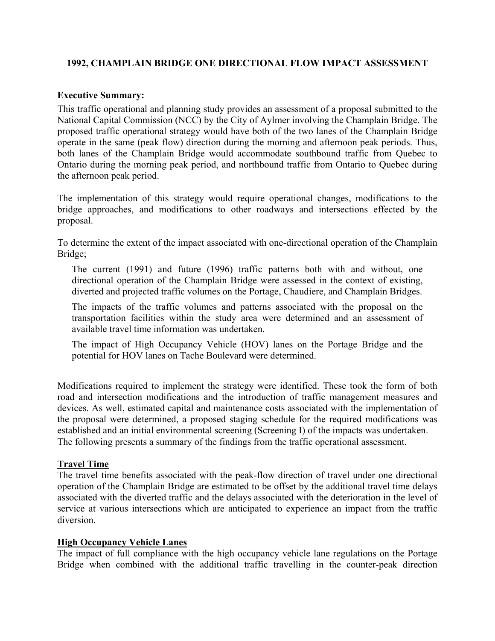## **1992, CHAMPLAIN BRIDGE ONE DIRECTIONAL FLOW IMPACT ASSESSMENT**

#### **Executive Summary:**

This traffic operational and planning study provides an assessment of a proposal submitted to the National Capital Commission (NCC) by the City of Aylmer involving the Champlain Bridge. The proposed traffic operational strategy would have both of the two lanes of the Champlain Bridge operate in the same (peak flow) direction during the morning and afternoon peak periods. Thus, both lanes of the Champlain Bridge would accommodate southbound traffic from Quebec to Ontario during the morning peak period, and northbound traffic from Ontario to Quebec during the afternoon peak period.

The implementation of this strategy would require operational changes, modifications to the bridge approaches, and modifications to other roadways and intersections effected by the proposal.

To determine the extent of the impact associated with one-directional operation of the Champlain Bridge;

The current (1991) and future (1996) traffic patterns both with and without, one directional operation of the Champlain Bridge were assessed in the context of existing, diverted and projected traffic volumes on the Portage, Chaudiere, and Champlain Bridges.

The impacts of the traffic volumes and patterns associated with the proposal on the transportation facilities within the study area were determined and an assessment of available travel time information was undertaken.

The impact of High Occupancy Vehicle (HOV) lanes on the Portage Bridge and the potential for HOV lanes on Tache Boulevard were determined.

Modifications required to implement the strategy were identified. These took the form of both road and intersection modifications and the introduction of traffic management measures and devices. As well, estimated capital and maintenance costs associated with the implementation of the proposal were determined, a proposed staging schedule for the required modifications was established and an initial environmental screening (Screening I) of the impacts was undertaken. The following presents a summary of the findings from the traffic operational assessment.

### **Travel Time**

The travel time benefits associated with the peak-flow direction of travel under one directional operation of the Champlain Bridge are estimated to be offset by the additional travel time delays associated with the diverted traffic and the delays associated with the deterioration in the level of service at various intersections which are anticipated to experience an impact from the traffic diversion.

### **High Occupancy Vehicle Lanes**

The impact of full compliance with the high occupancy vehicle lane regulations on the Portage Bridge when combined with the additional traffic travelling in the counter-peak direction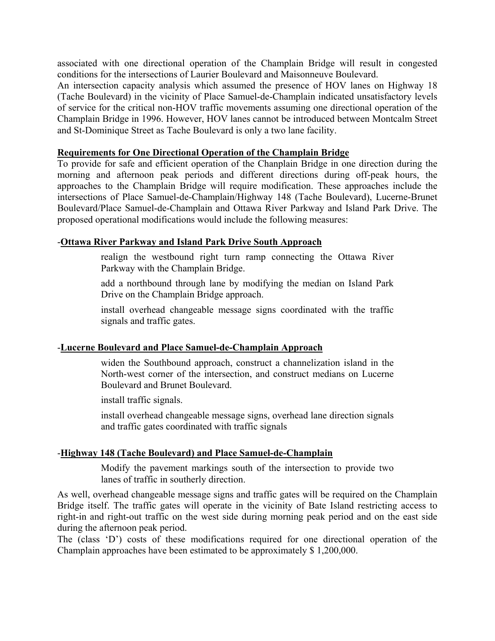associated with one directional operation of the Champlain Bridge will result in congested conditions for the intersections of Laurier Boulevard and Maisonneuve Boulevard.

An intersection capacity analysis which assumed the presence of HOV lanes on Highway 18 (Tache Boulevard) in the vicinity of Place Samuel-de-Champlain indicated unsatisfactory levels of service for the critical non-HOV traffic movements assuming one directional operation of the Champlain Bridge in 1996. However, HOV lanes cannot be introduced between Montcalm Street and St-Dominique Street as Tache Boulevard is only a two lane facility.

### **Requirements for One Directional Operation of the Champlain Bridge**

To provide for safe and efficient operation of the Chanplain Bridge in one direction during the morning and afternoon peak periods and different directions during off-peak hours, the approaches to the Champlain Bridge will require modification. These approaches include the intersections of Place Samuel-de-Champlain/Highway 148 (Tache Boulevard), Lucerne-Brunet Boulevard/Place Samuel-de-Champlain and Ottawa River Parkway and Island Park Drive. The proposed operational modifications would include the following measures:

## -**Ottawa River Parkway and Island Park Drive South Approach**

realign the westbound right turn ramp connecting the Ottawa River Parkway with the Champlain Bridge.

add a northbound through lane by modifying the median on Island Park Drive on the Champlain Bridge approach.

install overhead changeable message signs coordinated with the traffic signals and traffic gates.

## -**Lucerne Boulevard and Place Samuel-de-Champlain Approach**

widen the Southbound approach, construct a channelization island in the North-west corner of the intersection, and construct medians on Lucerne Boulevard and Brunet Boulevard.

install traffic signals.

install overhead changeable message signs, overhead lane direction signals and traffic gates coordinated with traffic signals

# -**Highway 148 (Tache Boulevard) and Place Samuel-de-Champlain**

Modify the pavement markings south of the intersection to provide two lanes of traffic in southerly direction.

As well, overhead changeable message signs and traffic gates will be required on the Champlain Bridge itself. The traffic gates will operate in the vicinity of Bate Island restricting access to right-in and right-out traffic on the west side during morning peak period and on the east side during the afternoon peak period.

The (class 'D') costs of these modifications required for one directional operation of the Champlain approaches have been estimated to be approximately \$ 1,200,000.